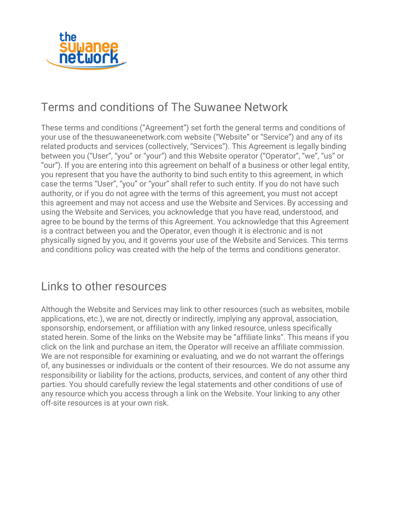

## Terms and conditions of The Suwanee Network

These terms and conditions ("Agreement") set forth the general terms and conditions of your use of the [thesuwaneenetwork.com](http://thesuwaneenetwork.com/) website ("Website" or "Service") and any of its related products and services (collectively, "Services"). This Agreement is legally binding between you ("User", "you" or "your") and this Website operator ("Operator", "we", "us" or "our"). If you are entering into this agreement on behalf of a business or other legal entity, you represent that you have the authority to bind such entity to this agreement, in which case the terms "User", "you" or "your" shall refer to such entity. If you do not have such authority, or if you do not agree with the terms of this agreement, you must not accept this agreement and may not access and use the Website and Services. By accessing and using the Website and Services, you acknowledge that you have read, understood, and agree to be bound by the terms of this Agreement. You acknowledge that this Agreement is a contract between you and the Operator, even though it is electronic and is not physically signed by you, and it governs your use of the Website and Services. This terms and conditions policy was created with the help of the terms and [conditions](https://www.websitepolicies.com/terms-and-conditions-generator) generator.

#### Links to other resources

Although the Website and Services may link to other resources (such as websites, mobile applications, etc.), we are not, directly or indirectly, implying any approval, association, sponsorship, endorsement, or affiliation with any linked resource, unless specifically stated herein. Some of the links on the Website may be "affiliate links". This means if you click on the link and purchase an item, the Operator will receive an affiliate commission. We are not responsible for examining or evaluating, and we do not warrant the offerings of, any businesses or individuals or the content of their resources. We do not assume any responsibility or liability for the actions, products, services, and content of any other third parties. You should carefully review the legal statements and other conditions of use of any resource which you access through a link on the Website. Your linking to any other off-site resources is at your own risk.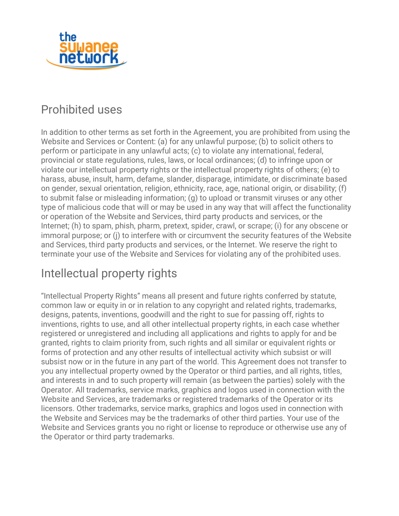

## Prohibited uses

In addition to other terms as set forth in the Agreement, you are prohibited from using the Website and Services or Content: (a) for any unlawful purpose; (b) to solicit others to perform or participate in any unlawful acts; (c) to violate any international, federal, provincial or state regulations, rules, laws, or local ordinances; (d) to infringe upon or violate our intellectual property rights or the intellectual property rights of others; (e) to harass, abuse, insult, harm, defame, slander, disparage, intimidate, or discriminate based on gender, sexual orientation, religion, ethnicity, race, age, national origin, or disability; (f) to submit false or misleading information; (g) to upload or transmit viruses or any other type of malicious code that will or may be used in any way that will affect the functionality or operation of the Website and Services, third party products and services, or the Internet; (h) to spam, phish, pharm, pretext, spider, crawl, or scrape; (i) for any obscene or immoral purpose; or (j) to interfere with or circumvent the security features of the Website and Services, third party products and services, or the Internet. We reserve the right to terminate your use of the Website and Services for violating any of the prohibited uses.

## Intellectual property rights

"Intellectual Property Rights" means all present and future rights conferred by statute, common law or equity in or in relation to any copyright and related rights, trademarks, designs, patents, inventions, goodwill and the right to sue for passing off, rights to inventions, rights to use, and all other intellectual property rights, in each case whether registered or unregistered and including all applications and rights to apply for and be granted, rights to claim priority from, such rights and all similar or equivalent rights or forms of protection and any other results of intellectual activity which subsist or will subsist now or in the future in any part of the world. This Agreement does not transfer to you any intellectual property owned by the Operator or third parties, and all rights, titles, and interests in and to such property will remain (as between the parties) solely with the Operator. All trademarks, service marks, graphics and logos used in connection with the Website and Services, are trademarks or registered trademarks of the Operator or its licensors. Other trademarks, service marks, graphics and logos used in connection with the Website and Services may be the trademarks of other third parties. Your use of the Website and Services grants you no right or license to reproduce or otherwise use any of the Operator or third party trademarks.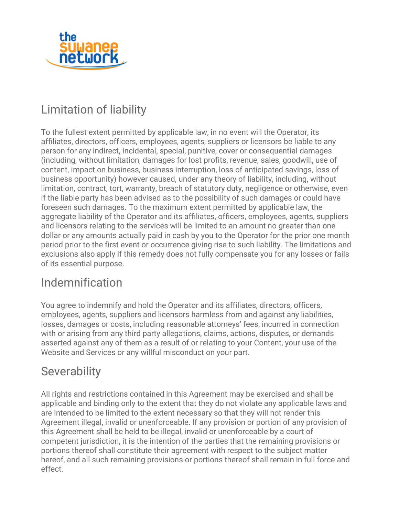

# Limitation of liability

To the fullest extent permitted by applicable law, in no event will the Operator, its affiliates, directors, officers, employees, agents, suppliers or licensors be liable to any person for any indirect, incidental, special, punitive, cover or consequential damages (including, without limitation, damages for lost profits, revenue, sales, goodwill, use of content, impact on business, business interruption, loss of anticipated savings, loss of business opportunity) however caused, under any theory of liability, including, without limitation, contract, tort, warranty, breach of statutory duty, negligence or otherwise, even if the liable party has been advised as to the possibility of such damages or could have foreseen such damages. To the maximum extent permitted by applicable law, the aggregate liability of the Operator and its affiliates, officers, employees, agents, suppliers and licensors relating to the services will be limited to an amount no greater than one dollar or any amounts actually paid in cash by you to the Operator for the prior one month period prior to the first event or occurrence giving rise to such liability. The limitations and exclusions also apply if this remedy does not fully compensate you for any losses or fails of its essential purpose.

### Indemnification

You agree to indemnify and hold the Operator and its affiliates, directors, officers, employees, agents, suppliers and licensors harmless from and against any liabilities, losses, damages or costs, including reasonable attorneys' fees, incurred in connection with or arising from any third party allegations, claims, actions, disputes, or demands asserted against any of them as a result of or relating to your Content, your use of the Website and Services or any willful misconduct on your part.

### **Severability**

All rights and restrictions contained in this Agreement may be exercised and shall be applicable and binding only to the extent that they do not violate any applicable laws and are intended to be limited to the extent necessary so that they will not render this Agreement illegal, invalid or unenforceable. If any provision or portion of any provision of this Agreement shall be held to be illegal, invalid or unenforceable by a court of competent jurisdiction, it is the intention of the parties that the remaining provisions or portions thereof shall constitute their agreement with respect to the subject matter hereof, and all such remaining provisions or portions thereof shall remain in full force and effect.